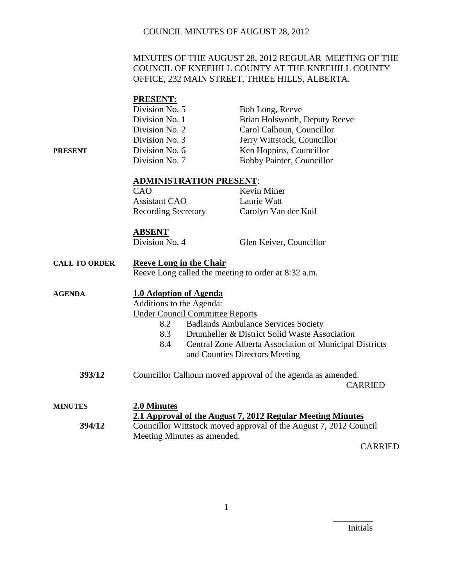#### MINUTES OF THE AUGUST 28, 2012 REGULAR MEETING OF THE COUNCIL OF KNEEHILL COUNTY AT THE KNEEHILL COUNTY OFFICE, 232 MAIN STREET, THREE HILLS, ALBERTA.

### **PRESENT:**

**PRESENT** 

| Division No. 5 | Bob Long, Reeve               |
|----------------|-------------------------------|
| Division No. 1 | Brian Holsworth, Deputy Reeve |
| Division No. 2 | Carol Calhoun, Councillor     |
| Division No. 3 | Jerry Wittstock, Councillor   |
| Division No. 6 | Ken Hoppins, Councillor       |
| Division No. 7 | Bobby Painter, Councillor     |

#### **ADMINISTRATION PRESENT**:

| CAO                        | <b>Kevin Miner</b>   |
|----------------------------|----------------------|
| <b>Assistant CAO</b>       | Laurie Watt          |
| <b>Recording Secretary</b> | Carolyn Van der Kuil |

#### **ABSENT**

Division No. 4 Glen Keiver, Councillor

## **CALL TO ORDER Reeve Long in the Chair** Reeve Long called the meeting to order at 8:32 a.m. **AGENDA 1.0 Adoption of Agenda** Additions to the Agenda: Under Council Committee Reports 8.2 Badlands Ambulance Services Society

- 8.3 Drumheller & District Solid Waste Association
- 8.4 Central Zone Alberta Association of Municipal Districts and Counties Directors Meeting
- **393/12** Councillor Calhoun moved approval of the agenda as amended. CARRIED

| <b>MINUTES</b> | 2.0 Minutes                                                       |
|----------------|-------------------------------------------------------------------|
|                | 2.1 Approval of the August 7, 2012 Regular Meeting Minutes        |
| 394/12         | Councillor Wittstock moved approval of the August 7, 2012 Council |
|                | Meeting Minutes as amended.                                       |

CARRIED

Initials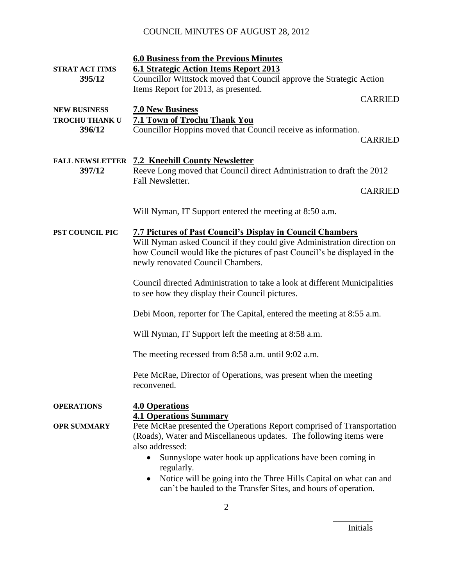| <b>STRAT ACT ITMS</b>  | <b>6.0 Business from the Previous Minutes</b><br><b>6.1 Strategic Action Items Report 2013</b>                                                                                                                                                                 |                |
|------------------------|----------------------------------------------------------------------------------------------------------------------------------------------------------------------------------------------------------------------------------------------------------------|----------------|
| 395/12                 | Councillor Wittstock moved that Council approve the Strategic Action                                                                                                                                                                                           |                |
|                        | Items Report for 2013, as presented.                                                                                                                                                                                                                           |                |
| <b>NEW BUSINESS</b>    | <b>7.0 New Business</b>                                                                                                                                                                                                                                        | <b>CARRIED</b> |
| <b>TROCHU THANK U</b>  | <b>7.1 Town of Trochu Thank You</b>                                                                                                                                                                                                                            |                |
| 396/12                 | Councillor Hoppins moved that Council receive as information.                                                                                                                                                                                                  | <b>CARRIED</b> |
| <b>FALL NEWSLETTER</b> | <b>7.2 Kneehill County Newsletter</b>                                                                                                                                                                                                                          |                |
| 397/12                 | Reeve Long moved that Council direct Administration to draft the 2012                                                                                                                                                                                          |                |
|                        | Fall Newsletter.                                                                                                                                                                                                                                               | <b>CARRIED</b> |
|                        |                                                                                                                                                                                                                                                                |                |
|                        | Will Nyman, IT Support entered the meeting at 8:50 a.m.                                                                                                                                                                                                        |                |
| PST COUNCIL PIC        | <b>7.7 Pictures of Past Council's Display in Council Chambers</b><br>Will Nyman asked Council if they could give Administration direction on<br>how Council would like the pictures of past Council's be displayed in the<br>newly renovated Council Chambers. |                |
|                        | Council directed Administration to take a look at different Municipalities<br>to see how they display their Council pictures.                                                                                                                                  |                |
|                        | Debi Moon, reporter for The Capital, entered the meeting at 8:55 a.m.                                                                                                                                                                                          |                |
|                        | Will Nyman, IT Support left the meeting at 8:58 a.m.                                                                                                                                                                                                           |                |
|                        | The meeting recessed from 8:58 a.m. until 9:02 a.m.                                                                                                                                                                                                            |                |
|                        | Pete McRae, Director of Operations, was present when the meeting<br>reconvened.                                                                                                                                                                                |                |
| <b>OPERATIONS</b>      | <b>4.0 Operations</b><br><b>4.1 Operations Summary</b>                                                                                                                                                                                                         |                |
| <b>OPR SUMMARY</b>     | Pete McRae presented the Operations Report comprised of Transportation<br>(Roads), Water and Miscellaneous updates. The following items were<br>also addressed:                                                                                                |                |
|                        | Sunnyslope water hook up applications have been coming in<br>regularly.                                                                                                                                                                                        |                |
|                        | Notice will be going into the Three Hills Capital on what can and<br>٠<br>can't be hauled to the Transfer Sites, and hours of operation.                                                                                                                       |                |

Initials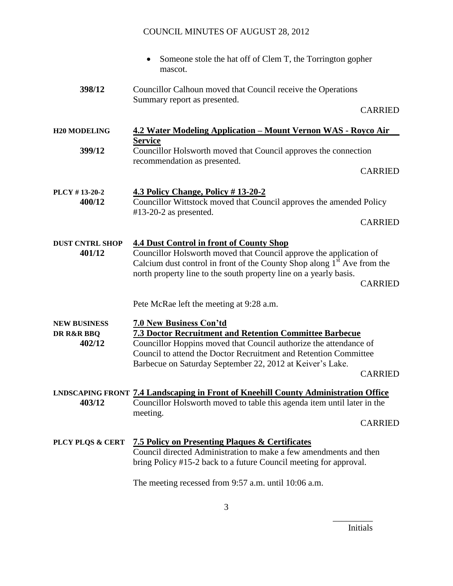|                                             | Someone stole the hat off of Clem T, the Torrington gopher<br>mascot.                                                                                                                                                                                                                                             |  |
|---------------------------------------------|-------------------------------------------------------------------------------------------------------------------------------------------------------------------------------------------------------------------------------------------------------------------------------------------------------------------|--|
| 398/12                                      | Councillor Calhoun moved that Council receive the Operations<br>Summary report as presented.                                                                                                                                                                                                                      |  |
|                                             | <b>CARRIED</b>                                                                                                                                                                                                                                                                                                    |  |
| <b>H20 MODELING</b>                         | <u> 4.2 Water Modeling Application – Mount Vernon WAS - Royco Air</u>                                                                                                                                                                                                                                             |  |
| 399/12                                      | <b>Service</b><br>Councillor Holsworth moved that Council approves the connection<br>recommendation as presented.                                                                                                                                                                                                 |  |
|                                             | <b>CARRIED</b>                                                                                                                                                                                                                                                                                                    |  |
| PLCY #13-20-2<br>400/12                     | <b>4.3 Policy Change, Policy #13-20-2</b><br>Councillor Wittstock moved that Council approves the amended Policy                                                                                                                                                                                                  |  |
|                                             | $#13-20-2$ as presented.<br><b>CARRIED</b>                                                                                                                                                                                                                                                                        |  |
| <b>DUST CNTRL SHOP</b><br>401/12            | <b>4.4 Dust Control in front of County Shop</b><br>Councillor Holsworth moved that Council approve the application of<br>Calcium dust control in front of the County Shop along $1st$ Ave from the<br>north property line to the south property line on a yearly basis.<br><b>CARRIED</b>                         |  |
|                                             | Pete McRae left the meeting at 9:28 a.m.                                                                                                                                                                                                                                                                          |  |
| <b>NEW BUSINESS</b><br>DR R&R BBQ<br>402/12 | <b>7.0 New Business Con'td</b><br>7.3 Doctor Recruitment and Retention Committee Barbecue<br>Councillor Hoppins moved that Council authorize the attendance of<br>Council to attend the Doctor Recruitment and Retention Committee<br>Barbecue on Saturday September 22, 2012 at Keiver's Lake.<br><b>CARRIED</b> |  |
| 403/12                                      | <b>LNDSCAPING FRONT 7.4 Landscaping in Front of Kneehill County Administration Office</b><br>Councillor Holsworth moved to table this agenda item until later in the<br>meeting.<br><b>CARRIED</b>                                                                                                                |  |
| PLCY PLQS & CERT                            | <b>7.5 Policy on Presenting Plaques &amp; Certificates</b><br>Council directed Administration to make a few amendments and then<br>bring Policy #15-2 back to a future Council meeting for approval.                                                                                                              |  |
|                                             | The meeting recessed from 9:57 a.m. until 10:06 a.m.                                                                                                                                                                                                                                                              |  |

Initials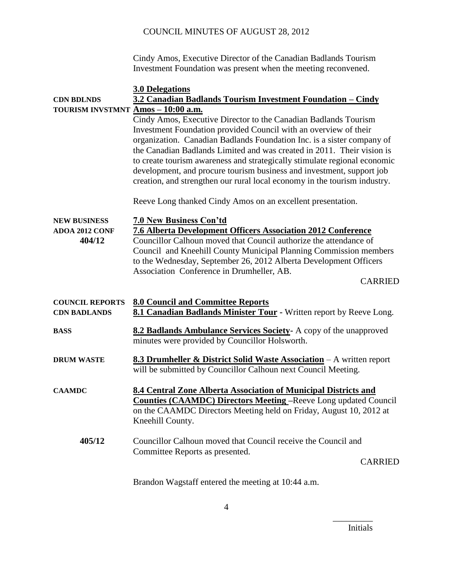Cindy Amos, Executive Director of the Canadian Badlands Tourism Investment Foundation was present when the meeting reconvened.

|                                    | <b>3.0 Delegations</b>                                                                                                                    |
|------------------------------------|-------------------------------------------------------------------------------------------------------------------------------------------|
| <b>CDN BDLNDS</b>                  | 3.2 Canadian Badlands Tourism Investment Foundation - Cindy                                                                               |
| TOURISM INVSTMNT Amos - 10:00 a.m. |                                                                                                                                           |
|                                    | Cindy Amos, Executive Director to the Canadian Badlands Tourism<br>Investment Foundation provided Council with an overview of their       |
|                                    | organization. Canadian Badlands Foundation Inc. is a sister company of                                                                    |
|                                    | the Canadian Badlands Limited and was created in 2011. Their vision is                                                                    |
|                                    | to create tourism awareness and strategically stimulate regional economic                                                                 |
|                                    | development, and procure tourism business and investment, support job                                                                     |
|                                    | creation, and strengthen our rural local economy in the tourism industry.                                                                 |
|                                    | Reeve Long thanked Cindy Amos on an excellent presentation.                                                                               |
| <b>NEW BUSINESS</b>                | 7.0 New Business Con'td                                                                                                                   |
| <b>ADOA 2012 CONF</b>              | <b>7.6 Alberta Development Officers Association 2012 Conference</b>                                                                       |
| 404/12                             | Councillor Calhoun moved that Council authorize the attendance of                                                                         |
|                                    | Council and Kneehill County Municipal Planning Commission members                                                                         |
|                                    | to the Wednesday, September 26, 2012 Alberta Development Officers                                                                         |
|                                    | Association Conference in Drumheller, AB.                                                                                                 |
|                                    | <b>CARRIED</b>                                                                                                                            |
| <b>COUNCIL REPORTS</b>             | <b>8.0 Council and Committee Reports</b>                                                                                                  |
| <b>CDN BADLANDS</b>                | 8.1 Canadian Badlands Minister Tour - Written report by Reeve Long.                                                                       |
| <b>BASS</b>                        | 8.2 Badlands Ambulance Services Society- A copy of the unapproved<br>minutes were provided by Councillor Holsworth.                       |
| <b>DRUM WASTE</b>                  | 8.3 Drumheller & District Solid Waste Association - A written report<br>will be submitted by Councillor Calhoun next Council Meeting.     |
|                                    |                                                                                                                                           |
| <b>CAAMDC</b>                      | 8.4 Central Zone Alberta Association of Municipal Districts and<br><b>Counties (CAAMDC) Directors Meeting -Reeve Long updated Council</b> |
|                                    | on the CAAMDC Directors Meeting held on Friday, August 10, 2012 at                                                                        |
|                                    | Kneehill County.                                                                                                                          |
| 405/12                             | Councillor Calhoun moved that Council receive the Council and                                                                             |
|                                    | Committee Reports as presented.                                                                                                           |
|                                    | <b>CARRIED</b>                                                                                                                            |
|                                    | Brandon Wagstaff entered the meeting at 10:44 a.m.                                                                                        |

Initials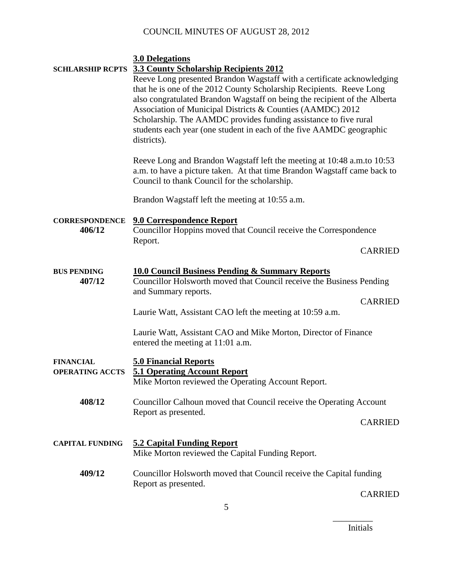|                                 | <b>3.0 Delegations</b><br><b>SCHLARSHIP RCPTS</b> 3.3 County Scholarship Recipients 2012<br>Reeve Long presented Brandon Wagstaff with a certificate acknowledging<br>that he is one of the 2012 County Scholarship Recipients. Reeve Long<br>also congratulated Brandon Wagstaff on being the recipient of the Alberta<br>Association of Municipal Districts & Counties (AAMDC) 2012<br>Scholarship. The AAMDC provides funding assistance to five rural<br>students each year (one student in each of the five AAMDC geographic<br>districts). |
|---------------------------------|--------------------------------------------------------------------------------------------------------------------------------------------------------------------------------------------------------------------------------------------------------------------------------------------------------------------------------------------------------------------------------------------------------------------------------------------------------------------------------------------------------------------------------------------------|
|                                 | Reeve Long and Brandon Wagstaff left the meeting at 10:48 a.m.to 10:53<br>a.m. to have a picture taken. At that time Brandon Wagstaff came back to<br>Council to thank Council for the scholarship.                                                                                                                                                                                                                                                                                                                                              |
|                                 | Brandon Wagstaff left the meeting at 10:55 a.m.                                                                                                                                                                                                                                                                                                                                                                                                                                                                                                  |
| <b>CORRESPONDENCE</b><br>406/12 | <b>9.0 Correspondence Report</b><br>Councillor Hoppins moved that Council receive the Correspondence<br>Report.                                                                                                                                                                                                                                                                                                                                                                                                                                  |
|                                 | <b>CARRIED</b>                                                                                                                                                                                                                                                                                                                                                                                                                                                                                                                                   |
| <b>BUS PENDING</b><br>407/12    | <b>10.0 Council Business Pending &amp; Summary Reports</b><br>Councillor Holsworth moved that Council receive the Business Pending<br>and Summary reports.<br><b>CARRIED</b>                                                                                                                                                                                                                                                                                                                                                                     |
|                                 | Laurie Watt, Assistant CAO left the meeting at 10:59 a.m.                                                                                                                                                                                                                                                                                                                                                                                                                                                                                        |
|                                 | Laurie Watt, Assistant CAO and Mike Morton, Director of Finance<br>entered the meeting at 11:01 a.m.                                                                                                                                                                                                                                                                                                                                                                                                                                             |
| <b>FINANCIAL</b>                | <b>5.0 Financial Reports</b>                                                                                                                                                                                                                                                                                                                                                                                                                                                                                                                     |
| <b>OPERATING ACCTS</b>          | <b>5.1 Operating Account Report</b><br>Mike Morton reviewed the Operating Account Report.                                                                                                                                                                                                                                                                                                                                                                                                                                                        |
| 408/12                          | Councillor Calhoun moved that Council receive the Operating Account<br>Report as presented.<br><b>CARRIED</b>                                                                                                                                                                                                                                                                                                                                                                                                                                    |
| <b>CAPITAL FUNDING</b>          | <b>5.2 Capital Funding Report</b><br>Mike Morton reviewed the Capital Funding Report.                                                                                                                                                                                                                                                                                                                                                                                                                                                            |
| 409/12                          | Councillor Holsworth moved that Council receive the Capital funding<br>Report as presented.                                                                                                                                                                                                                                                                                                                                                                                                                                                      |

\_\_\_\_\_\_\_\_\_ Initials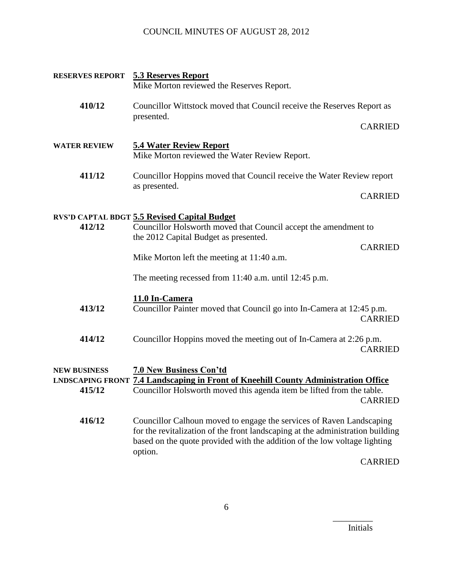|                               | <b>RESERVES REPORT 5.3 Reserves Report</b><br>Mike Morton reviewed the Reserves Report.                                                                                                                                                        |                |
|-------------------------------|------------------------------------------------------------------------------------------------------------------------------------------------------------------------------------------------------------------------------------------------|----------------|
| 410/12                        | Councillor Wittstock moved that Council receive the Reserves Report as                                                                                                                                                                         |                |
|                               | presented.                                                                                                                                                                                                                                     | <b>CARRIED</b> |
| <b>WATER REVIEW</b>           | <b>5.4 Water Review Report</b><br>Mike Morton reviewed the Water Review Report.                                                                                                                                                                |                |
| 411/12                        | Councillor Hoppins moved that Council receive the Water Review report                                                                                                                                                                          |                |
|                               | as presented.                                                                                                                                                                                                                                  | <b>CARRIED</b> |
| 412/12                        | <b>RVS'D CAPTAL BDGT 5.5 Revised Capital Budget</b><br>Councillor Holsworth moved that Council accept the amendment to<br>the 2012 Capital Budget as presented.<br>Mike Morton left the meeting at 11:40 a.m.                                  | <b>CARRIED</b> |
|                               | The meeting recessed from $11:40$ a.m. until 12:45 p.m.                                                                                                                                                                                        |                |
| 413/12                        | 11.0 In-Camera<br>Councillor Painter moved that Council go into In-Camera at 12:45 p.m.                                                                                                                                                        | <b>CARRIED</b> |
| 414/12                        | Councillor Hoppins moved the meeting out of In-Camera at 2:26 p.m.                                                                                                                                                                             | <b>CARRIED</b> |
| <b>NEW BUSINESS</b><br>415/12 | <b>7.0 New Business Con'td</b><br><b>LNDSCAPING FRONT 7.4 Landscaping in Front of Kneehill County Administration Office</b><br>Councillor Holsworth moved this agenda item be lifted from the table.                                           | <b>CARRIED</b> |
| 416/12                        | Councillor Calhoun moved to engage the services of Raven Landscaping<br>for the revitalization of the front landscaping at the administration building<br>based on the quote provided with the addition of the low voltage lighting<br>option. |                |
|                               |                                                                                                                                                                                                                                                | <b>CARRIED</b> |

Initials